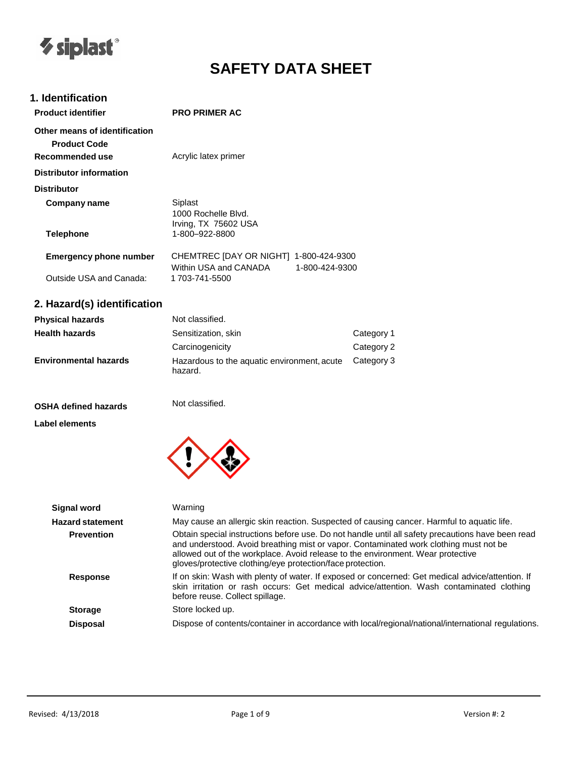

# **SAFETY DATA SHEET**

# **1. Identification**

| <b>Product identifier</b>                                               | <b>PRO PRIMER AC</b>                                            |                |
|-------------------------------------------------------------------------|-----------------------------------------------------------------|----------------|
| Other means of identification<br><b>Product Code</b><br>Recommended use | Acrylic latex primer                                            |                |
| Distributor information                                                 |                                                                 |                |
| <b>Distributor</b>                                                      |                                                                 |                |
| Company name                                                            | Siplast<br>1000 Rochelle Blvd.<br>Irving, TX 75602 USA          |                |
| <b>Telephone</b>                                                        | 1-800–922-8800                                                  |                |
| <b>Emergency phone number</b>                                           | CHEMTREC [DAY OR NIGHT] 1-800-424-9300<br>Within USA and CANADA | 1-800-424-9300 |
| Outside USA and Canada:                                                 | 1 703-741-5500                                                  |                |

# **2. Hazard(s) identification**

| <b>Physical hazards</b>      | Not classified.                                        |            |
|------------------------------|--------------------------------------------------------|------------|
| <b>Health hazards</b>        | Sensitization, skin                                    | Category 1 |
|                              | Carcinogenicity                                        | Category 2 |
| <b>Environmental hazards</b> | Hazardous to the aquatic environment, acute<br>hazard. | Category 3 |

# **OSHA defined hazards**

Not classified.

# **Label elements**



| Warning                                                                                                                                                                                                                                                                                                                                     |
|---------------------------------------------------------------------------------------------------------------------------------------------------------------------------------------------------------------------------------------------------------------------------------------------------------------------------------------------|
| May cause an allergic skin reaction. Suspected of causing cancer. Harmful to aquatic life.                                                                                                                                                                                                                                                  |
| Obtain special instructions before use. Do not handle until all safety precautions have been read<br>and understood. Avoid breathing mist or vapor. Contaminated work clothing must not be<br>allowed out of the workplace. Avoid release to the environment. Wear protective<br>gloves/protective clothing/eye protection/face protection. |
| If on skin: Wash with plenty of water. If exposed or concerned: Get medical advice/attention. If<br>skin irritation or rash occurs: Get medical advice/attention. Wash contaminated clothing<br>before reuse. Collect spillage.                                                                                                             |
| Store locked up.                                                                                                                                                                                                                                                                                                                            |
| Dispose of contents/container in accordance with local/regional/national/international regulations.                                                                                                                                                                                                                                         |
|                                                                                                                                                                                                                                                                                                                                             |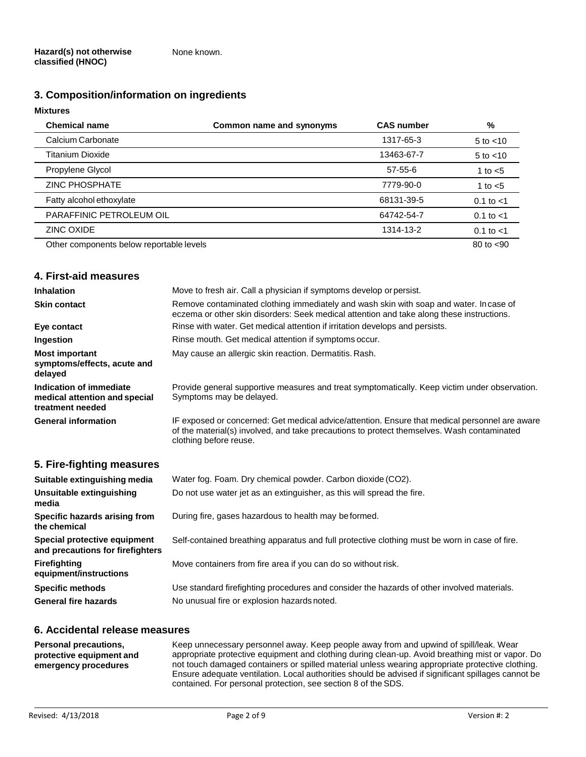# **3. Composition/information on ingredients**

# **Mixtures**

| <b>Chemical name</b>                     | Common name and synonyms | <b>CAS number</b> | %              |
|------------------------------------------|--------------------------|-------------------|----------------|
| Calcium Carbonate                        |                          | 1317-65-3         | $5$ to $<$ 10  |
| <b>Titanium Dioxide</b>                  |                          | 13463-67-7        | $5$ to $<$ 10  |
| Propylene Glycol                         |                          | 57-55-6           | 1 to $<$ 5     |
| <b>ZINC PHOSPHATE</b>                    |                          | 7779-90-0         | 1 to $<$ 5     |
| Fatty alcohol ethoxylate                 |                          | 68131-39-5        | $0.1$ to $< 1$ |
| PARAFFINIC PETROLEUM OIL                 |                          | 64742-54-7        | 0.1 to $<$ 1   |
| ZINC OXIDE                               |                          | 1314-13-2         | $0.1$ to $< 1$ |
| Other components below reportable levels |                          |                   | 80 to $< 90$   |

# **4. First-aid measures**

| <b>Inhalation</b>                                                            | Move to fresh air. Call a physician if symptoms develop or persist.                                                                                                                                                    |
|------------------------------------------------------------------------------|------------------------------------------------------------------------------------------------------------------------------------------------------------------------------------------------------------------------|
| <b>Skin contact</b>                                                          | Remove contaminated clothing immediately and wash skin with soap and water. In case of<br>eczema or other skin disorders: Seek medical attention and take along these instructions.                                    |
| Eye contact                                                                  | Rinse with water. Get medical attention if irritation develops and persists.                                                                                                                                           |
| Ingestion                                                                    | Rinse mouth. Get medical attention if symptoms occur.                                                                                                                                                                  |
| <b>Most important</b><br>symptoms/effects, acute and<br>delayed              | May cause an allergic skin reaction. Dermatitis. Rash.                                                                                                                                                                 |
| Indication of immediate<br>medical attention and special<br>treatment needed | Provide general supportive measures and treat symptomatically. Keep victim under observation.<br>Symptoms may be delayed.                                                                                              |
| <b>General information</b>                                                   | IF exposed or concerned: Get medical advice/attention. Ensure that medical personnel are aware<br>of the material(s) involved, and take precautions to protect themselves. Wash contaminated<br>clothing before reuse. |

# **5. Fire-fighting measures**

| Suitable extinguishing media                                     | Water fog. Foam. Dry chemical powder. Carbon dioxide (CO2).                                   |
|------------------------------------------------------------------|-----------------------------------------------------------------------------------------------|
| Unsuitable extinguishing<br>media                                | Do not use water jet as an extinguisher, as this will spread the fire.                        |
| Specific hazards arising from<br>the chemical                    | During fire, gases hazardous to health may be formed.                                         |
| Special protective equipment<br>and precautions for firefighters | Self-contained breathing apparatus and full protective clothing must be worn in case of fire. |
| <b>Firefighting</b><br>equipment/instructions                    | Move containers from fire area if you can do so without risk.                                 |
| <b>Specific methods</b>                                          | Use standard firefighting procedures and consider the hazards of other involved materials.    |
| <b>General fire hazards</b>                                      | No unusual fire or explosion hazards noted.                                                   |

# **6. Accidental release measures**

| <b>Personal precautions,</b> | Keep unnecessary personnel away. Keep people away from and upwind of spill/leak. Wear               |
|------------------------------|-----------------------------------------------------------------------------------------------------|
| protective equipment and     | appropriate protective equipment and clothing during clean-up. Avoid breathing mist or vapor. Do    |
| emergency procedures         | not touch damaged containers or spilled material unless wearing appropriate protective clothing.    |
|                              | Ensure adequate ventilation. Local authorities should be advised if significant spillages cannot be |
|                              | contained. For personal protection, see section 8 of the SDS.                                       |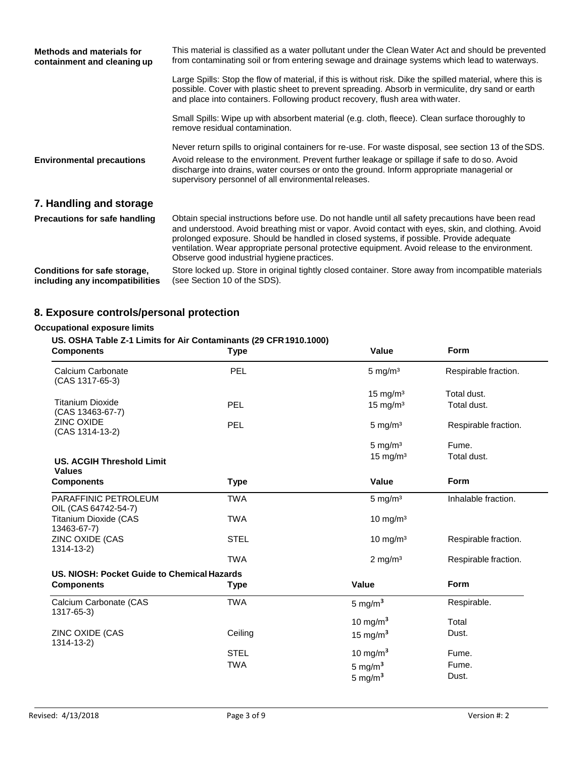| <b>Methods and materials for</b><br>containment and cleaning up | This material is classified as a water pollutant under the Clean Water Act and should be prevented<br>from contaminating soil or from entering sewage and drainage systems which lead to waterways.                                                                                                                                                                                                                                              |
|-----------------------------------------------------------------|--------------------------------------------------------------------------------------------------------------------------------------------------------------------------------------------------------------------------------------------------------------------------------------------------------------------------------------------------------------------------------------------------------------------------------------------------|
|                                                                 | Large Spills: Stop the flow of material, if this is without risk. Dike the spilled material, where this is<br>possible. Cover with plastic sheet to prevent spreading. Absorb in vermiculite, dry sand or earth<br>and place into containers. Following product recovery, flush area with water.                                                                                                                                                 |
|                                                                 | Small Spills: Wipe up with absorbent material (e.g. cloth, fleece). Clean surface thoroughly to<br>remove residual contamination.                                                                                                                                                                                                                                                                                                                |
| <b>Environmental precautions</b>                                | Never return spills to original containers for re-use. For waste disposal, see section 13 of the SDS.<br>Avoid release to the environment. Prevent further leakage or spillage if safe to do so. Avoid<br>discharge into drains, water courses or onto the ground. Inform appropriate managerial or<br>supervisory personnel of all environmental releases.                                                                                      |
| 7. Handling and storage                                         |                                                                                                                                                                                                                                                                                                                                                                                                                                                  |
| <b>Precautions for safe handling</b>                            | Obtain special instructions before use. Do not handle until all safety precautions have been read<br>and understood. Avoid breathing mist or vapor. Avoid contact with eyes, skin, and clothing. Avoid<br>prolonged exposure. Should be handled in closed systems, if possible. Provide adequate<br>ventilation. Wear appropriate personal protective equipment. Avoid release to the environment.<br>Observe good industrial hygiene practices. |
| Conditions for safe storage,<br>including any incompatibilities | Store locked up. Store in original tightly closed container. Store away from incompatible materials<br>(see Section 10 of the SDS).                                                                                                                                                                                                                                                                                                              |

# **8. Exposure controls/personal protection**

# **Occupational exposure limits**

# **US. OSHA Table Z-1 Limits for Air Contaminants (29 CFR1910.1000)**

| <b>Components</b>                                 | <b>Type</b> | <b>Value</b>           | <b>Form</b>          |
|---------------------------------------------------|-------------|------------------------|----------------------|
| Calcium Carbonate<br>(CAS 1317-65-3)              | PEL         | $5 \text{ mg/m}^3$     | Respirable fraction. |
|                                                   |             | $15$ mg/m <sup>3</sup> | Total dust.          |
| <b>Titanium Dioxide</b><br>(CAS 13463-67-7)       | <b>PEL</b>  | $15$ mg/m <sup>3</sup> | Total dust.          |
| ZINC OXIDE<br>(CAS 1314-13-2)                     | PEL         | 5 mg/m <sup>3</sup>    | Respirable fraction. |
|                                                   |             | $5 \text{ mg/m}^3$     | Fume.                |
| <b>US. ACGIH Threshold Limit</b><br><b>Values</b> |             | 15 mg/m <sup>3</sup>   | Total dust.          |
| <b>Components</b>                                 | <b>Type</b> | <b>Value</b>           | <b>Form</b>          |
| PARAFFINIC PETROLEUM<br>OIL (CAS 64742-54-7)      | <b>TWA</b>  | $5 \text{ mg/m}^3$     | Inhalable fraction.  |
| <b>Titanium Dioxide (CAS</b><br>13463-67-7)       | <b>TWA</b>  | 10 mg/m $3$            |                      |
| ZINC OXIDE (CAS<br>$1314 - 13 - 2$                | <b>STEL</b> | 10 mg/m $3$            | Respirable fraction. |
|                                                   | <b>TWA</b>  | $2$ mg/m <sup>3</sup>  | Respirable fraction. |
| US. NIOSH: Pocket Guide to Chemical Hazards       |             |                        |                      |
| <b>Components</b>                                 | <b>Type</b> | <b>Value</b>           | <b>Form</b>          |
| Calcium Carbonate (CAS<br>1317-65-3)              | <b>TWA</b>  | 5 mg/m $3$             | Respirable.          |
|                                                   |             | 10 mg/m $3$            | Total                |
| ZINC OXIDE (CAS<br>1314-13-2)                     | Ceiling     | 15 mg/m $3$            | Dust.                |
|                                                   | <b>STEL</b> | 10 mg/m $3$            | Fume.                |
|                                                   | <b>TWA</b>  | $5 \text{ mg/m}^3$     | Fume.                |
|                                                   |             | 5 mg/ $m3$             | Dust.                |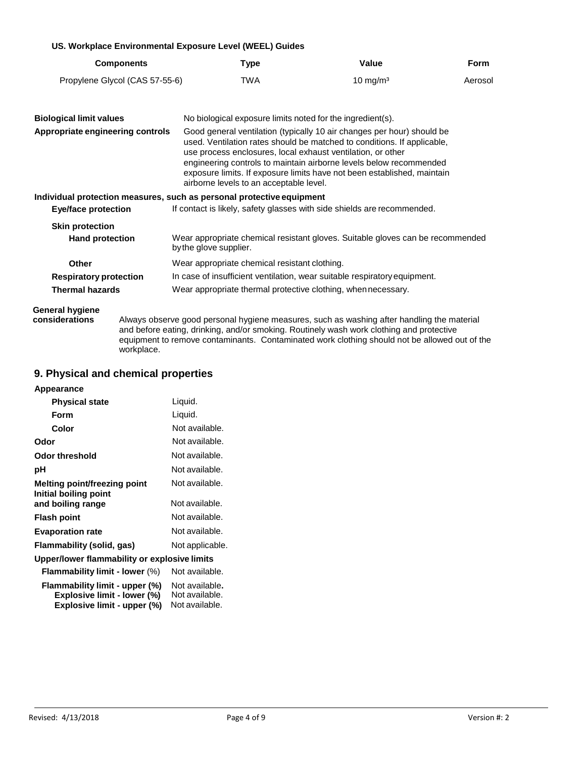## **US. Workplace Environmental Exposure Level (WEEL) Guides**

| <b>Components</b>              | Type | Value               | Form    |
|--------------------------------|------|---------------------|---------|
| Propylene Glycol (CAS 57-55-6) | TWA  | $10 \text{ mg/m}^3$ | Aerosol |

| <b>Biological limit values</b><br>Appropriate engineering controls | No biological exposure limits noted for the ingredient(s).<br>Good general ventilation (typically 10 air changes per hour) should be<br>used. Ventilation rates should be matched to conditions. If applicable,<br>use process enclosures, local exhaust ventilation, or other<br>engineering controls to maintain airborne levels below recommended<br>exposure limits. If exposure limits have not been established, maintain<br>airborne levels to an acceptable level. |
|--------------------------------------------------------------------|----------------------------------------------------------------------------------------------------------------------------------------------------------------------------------------------------------------------------------------------------------------------------------------------------------------------------------------------------------------------------------------------------------------------------------------------------------------------------|
| Eye/face protection                                                | Individual protection measures, such as personal protective equipment<br>If contact is likely, safety glasses with side shields are recommended.                                                                                                                                                                                                                                                                                                                           |
| <b>Skin protection</b>                                             | Wear appropriate chemical resistant gloves. Suitable gloves can be recommended                                                                                                                                                                                                                                                                                                                                                                                             |
| <b>Hand protection</b>                                             | by the glove supplier.                                                                                                                                                                                                                                                                                                                                                                                                                                                     |
| <b>Other</b>                                                       | Wear appropriate chemical resistant clothing.                                                                                                                                                                                                                                                                                                                                                                                                                              |
| <b>Respiratory protection</b>                                      | In case of insufficient ventilation, wear suitable respiratory equipment.                                                                                                                                                                                                                                                                                                                                                                                                  |
| <b>Thermal hazards</b>                                             | Wear appropriate thermal protective clothing, when necessary.                                                                                                                                                                                                                                                                                                                                                                                                              |

# **General hygiene**

**considerations** Always observe good personal hygiene measures, such as washing after handling the material and before eating, drinking, and/or smoking. Routinely wash work clothing and protective equipment to remove contaminants. Contaminated work clothing should not be allowed out of the workplace.

# **9. Physical and chemical properties**

| <b>Physical state</b>                                                                        | Liquid.                                            |
|----------------------------------------------------------------------------------------------|----------------------------------------------------|
| Form                                                                                         | Liquid.                                            |
| Color                                                                                        | Not available.                                     |
| Odor                                                                                         | Not available.                                     |
| <b>Odor threshold</b>                                                                        | Not available.                                     |
| рH                                                                                           | Not available.                                     |
| Melting point/freezing point<br>Initial boiling point                                        | Not available.                                     |
| and boiling range                                                                            | Not available.                                     |
| <b>Flash point</b>                                                                           | Not available.                                     |
| <b>Evaporation rate</b>                                                                      | Not available.                                     |
| Flammability (solid, gas)                                                                    | Not applicable.                                    |
| Upper/lower flammability or explosive limits                                                 |                                                    |
| <b>Flammability limit - lower (%)</b>                                                        | Not available.                                     |
| Flammability limit - upper (%)<br>Explosive limit - lower (%)<br>Explosive limit - upper (%) | Not available.<br>Not available.<br>Not available. |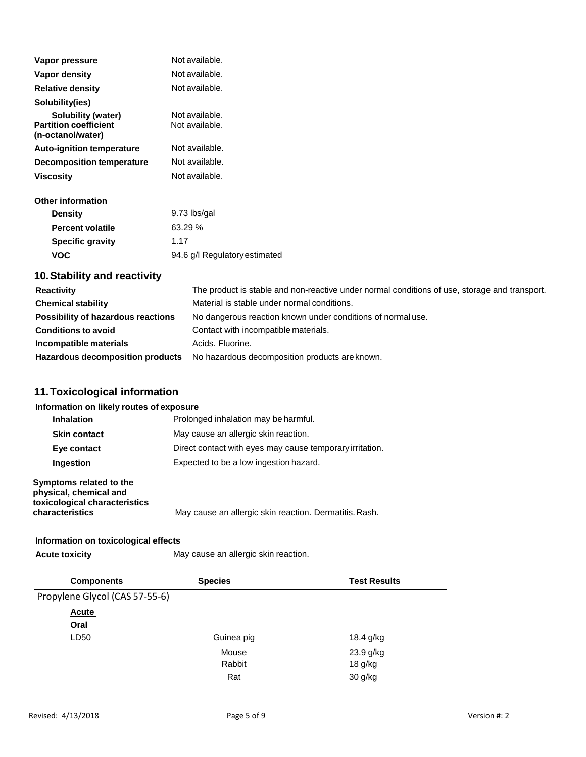| Vapor pressure                                     | Not available.                   |
|----------------------------------------------------|----------------------------------|
| Vapor density                                      | Not available.                   |
| <b>Relative density</b>                            | Not available.                   |
| Solubility(ies)                                    |                                  |
| Solubility (water)<br><b>Partition coefficient</b> | Not available.<br>Not available. |
| (n-octanol/water)                                  |                                  |
| <b>Auto-ignition temperature</b>                   | Not available.                   |
| Decomposition temperature                          | Not available.                   |
| <b>Viscosity</b>                                   | Not available.                   |
| <b>Other information</b>                           |                                  |
| <b>Density</b>                                     | 9.73 lbs/gal                     |
| <b>Percent volatile</b>                            | 63.29 %                          |
| <b>Specific gravity</b>                            | 1.17                             |
| <b>VOC</b>                                         | 94.6 g/l Regulatory estimated    |
|                                                    |                                  |

# **10.Stability and reactivity**

| <b>Reactivity</b>                       | The product is stable and non-reactive under normal conditions of use, storage and transport. |
|-----------------------------------------|-----------------------------------------------------------------------------------------------|
| <b>Chemical stability</b>               | Material is stable under normal conditions.                                                   |
| Possibility of hazardous reactions      | No dangerous reaction known under conditions of normal use.                                   |
| <b>Conditions to avoid</b>              | Contact with incompatible materials.                                                          |
| Incompatible materials                  | Acids, Fluorine.                                                                              |
| <b>Hazardous decomposition products</b> | No hazardous decomposition products are known.                                                |

# **11.Toxicological information**

# **Information on likely routes of exposure**

| <b>Inhalation</b>   | Prolonged inhalation may be harmful.                     |
|---------------------|----------------------------------------------------------|
| <b>Skin contact</b> | May cause an allergic skin reaction.                     |
| Eye contact         | Direct contact with eyes may cause temporary irritation. |
| <b>Ingestion</b>    | Expected to be a low ingestion hazard.                   |

# **Symptoms related to the physical, chemical and toxicological characteristics**

# **Information on toxicological effects**

Acute **toxicity** May cause an allergic skin reaction.

**characteristics** May cause an allergic skin reaction. Dermatitis.Rash.

| <b>Components</b>              | <b>Species</b> | <b>Test Results</b> |
|--------------------------------|----------------|---------------------|
| Propylene Glycol (CAS 57-55-6) |                |                     |
| <b>Acute</b>                   |                |                     |
| Oral                           |                |                     |
| LD50                           | Guinea pig     | 18.4 g/kg           |
|                                | Mouse          | 23.9 g/kg           |
|                                | Rabbit         | 18 g/kg             |
|                                | Rat            | 30 g/kg             |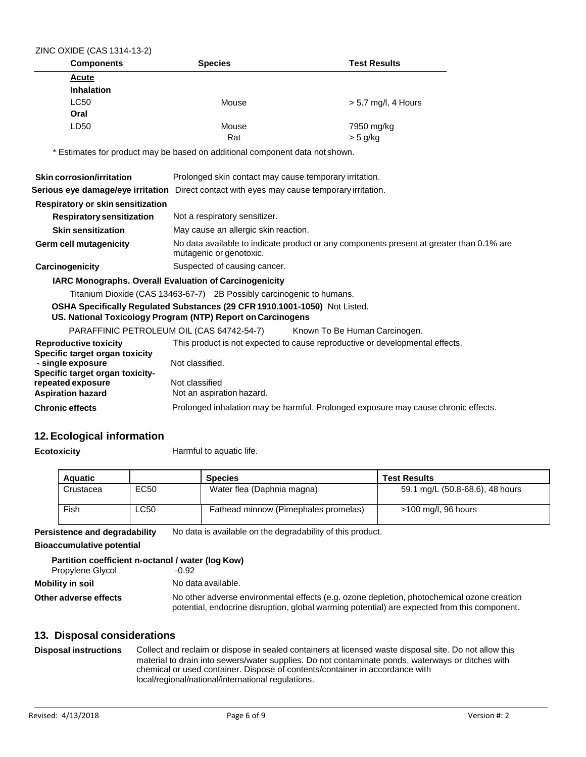| ZINC OXIDE (CAS 1314-13-2)                                                                 |                                                                                                                                           |                                                                                    |  |  |
|--------------------------------------------------------------------------------------------|-------------------------------------------------------------------------------------------------------------------------------------------|------------------------------------------------------------------------------------|--|--|
| <b>Components</b>                                                                          | <b>Species</b>                                                                                                                            | <b>Test Results</b>                                                                |  |  |
| Acute                                                                                      |                                                                                                                                           |                                                                                    |  |  |
| <b>Inhalation</b>                                                                          |                                                                                                                                           |                                                                                    |  |  |
| <b>LC50</b>                                                                                | Mouse                                                                                                                                     | $> 5.7$ mg/l, 4 Hours                                                              |  |  |
| Oral                                                                                       |                                                                                                                                           |                                                                                    |  |  |
| LD50                                                                                       | Mouse                                                                                                                                     | 7950 mg/kg                                                                         |  |  |
|                                                                                            | Rat                                                                                                                                       | $>$ 5 g/kg                                                                         |  |  |
|                                                                                            | * Estimates for product may be based on additional component data not shown.                                                              |                                                                                    |  |  |
| Skin corrosion/irritation                                                                  | Prolonged skin contact may cause temporary irritation.                                                                                    |                                                                                    |  |  |
| Serious eye damage/eye irritation Direct contact with eyes may cause temporary irritation. |                                                                                                                                           |                                                                                    |  |  |
| Respiratory or skin sensitization                                                          |                                                                                                                                           |                                                                                    |  |  |
| <b>Respiratory sensitization</b>                                                           | Not a respiratory sensitizer.                                                                                                             |                                                                                    |  |  |
| <b>Skin sensitization</b>                                                                  | May cause an allergic skin reaction.                                                                                                      |                                                                                    |  |  |
| <b>Germ cell mutagenicity</b>                                                              | No data available to indicate product or any components present at greater than 0.1% are<br>mutagenic or genotoxic.                       |                                                                                    |  |  |
| Carcinogenicity                                                                            | Suspected of causing cancer.                                                                                                              |                                                                                    |  |  |
| <b>IARC Monographs. Overall Evaluation of Carcinogenicity</b>                              |                                                                                                                                           |                                                                                    |  |  |
|                                                                                            | Titanium Dioxide (CAS 13463-67-7) 2B Possibly carcinogenic to humans.                                                                     |                                                                                    |  |  |
|                                                                                            | OSHA Specifically Regulated Substances (29 CFR 1910.1001-1050) Not Listed.<br>US. National Toxicology Program (NTP) Report on Carcinogens |                                                                                    |  |  |
|                                                                                            | PARAFFINIC PETROLEUM OIL (CAS 64742-54-7)                                                                                                 | Known To Be Human Carcinogen.                                                      |  |  |
| <b>Reproductive toxicity</b>                                                               | This product is not expected to cause reproductive or developmental effects.                                                              |                                                                                    |  |  |
| Specific target organ toxicity<br>- single exposure                                        | Not classified.                                                                                                                           |                                                                                    |  |  |
| Specific target organ toxicity-                                                            |                                                                                                                                           |                                                                                    |  |  |
| repeated exposure                                                                          | Not classified                                                                                                                            |                                                                                    |  |  |
| <b>Aspiration hazard</b>                                                                   | Not an aspiration hazard.                                                                                                                 |                                                                                    |  |  |
| <b>Chronic effects</b>                                                                     |                                                                                                                                           | Prolonged inhalation may be harmful. Prolonged exposure may cause chronic effects. |  |  |
|                                                                                            |                                                                                                                                           |                                                                                    |  |  |

# **12.Ecological information**

**Ecotoxicity Harmful to aquatic life.** 

| <b>Aquatic</b> |      | <b>Species</b>                       | <b>Test Results</b>             |
|----------------|------|--------------------------------------|---------------------------------|
| Crustacea      | EC50 | Water flea (Daphnia magna)           | 59.1 mg/L (50.8-68.6), 48 hours |
| Fish           | LC50 | Fathead minnow (Pimephales promelas) | >100 mg/l, 96 hours             |

**Persistence and degradability** No data is available on the degradability of this product.

## **Bioaccumulative potential**

| Partition coefficient n-octanol / water (log Kow) |                                                                                                                                                                                            |  |
|---------------------------------------------------|--------------------------------------------------------------------------------------------------------------------------------------------------------------------------------------------|--|
| Propylene Glycol                                  | -0.92                                                                                                                                                                                      |  |
| Mobility in soil                                  | No data available.                                                                                                                                                                         |  |
| Other adverse effects                             | No other adverse environmental effects (e.g. ozone depletion, photochemical ozone creation<br>potential, endocrine disruption, global warming potential) are expected from this component. |  |

# **13. Disposal considerations**

**Disposal instructions** Collect and reclaim or dispose in sealed containers at licensed waste disposal site. Do not allow this material to drain into sewers/water supplies. Do not contaminate ponds, waterways or ditches with chemical or used container. Dispose of contents/container in accordance with local/regional/national/international regulations.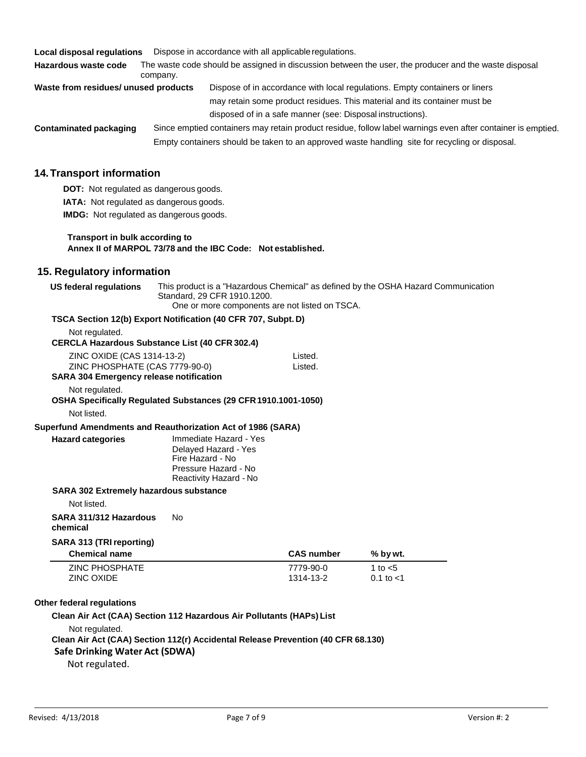**Local disposal regulations** Dispose in accordance with all applicableregulations.

**Hazardous waste code** The waste code should be assigned in discussion between the user, the producer and the waste disposal company.

| Waste from residues/ unused products | Dispose of in accordance with local regulations. Empty containers or liners |
|--------------------------------------|-----------------------------------------------------------------------------|
|                                      | may retain some product residues. This material and its container must be   |
|                                      | disposed of in a safe manner (see: Disposal instructions).                  |
|                                      |                                                                             |

**Contaminated packaging** Since emptied containers may retain product residue, follow label warnings even after container is emptied. Empty containers should be taken to an approved waste handling site for recycling or disposal.

# **14.Transport information**

**DOT:** Not regulated as dangerous goods. **IATA:** Not regulated as dangerous goods.

**IMDG:** Not regulated as dangerous goods.

#### **Transport in bulk according to Annex II of MARPOL 73/78 and the IBC Code: Not established.**

# **15. Regulatory information**

| US federal regulations                                        | This product is a "Hazardous Chemical" as defined by the OSHA Hazard Communication |  |
|---------------------------------------------------------------|------------------------------------------------------------------------------------|--|
|                                                               | Standard, 29 CFR 1910.1200.                                                        |  |
|                                                               | One or more components are not listed on TSCA.                                     |  |
| TSCA Section 12(b) Export Notification (40 CFR 707, Subpt. D) |                                                                                    |  |

#### Not regulated. **CERCLA Hazardous Substance List (40 CFR 302.4)**

| <b>ZINC PHOSPHATE</b><br><b>ZINC OXIDE</b>                                       |                                                                                            | 7779-90-0<br>1314-13-2 | 1 to $<$ 5<br>0.1 to $<$ 1 |
|----------------------------------------------------------------------------------|--------------------------------------------------------------------------------------------|------------------------|----------------------------|
| SARA 313 (TRI reporting)<br><b>Chemical name</b>                                 |                                                                                            | <b>CAS number</b>      | % by wt.                   |
| SARA 311/312 Hazardous<br>chemical                                               | No                                                                                         |                        |                            |
| <b>SARA 302 Extremely hazardous substance</b><br>Not listed.                     |                                                                                            |                        |                            |
| <b>Hazard categories</b>                                                         | Delayed Hazard - Yes<br>Fire Hazard - No<br>Pressure Hazard - No<br>Reactivity Hazard - No |                        |                            |
| Superfund Amendments and Reauthorization Act of 1986 (SARA)                      | Immediate Hazard - Yes                                                                     |                        |                            |
| Not listed.                                                                      |                                                                                            |                        |                            |
| Not regulated.<br>OSHA Specifically Regulated Substances (29 CFR 1910.1001-1050) |                                                                                            |                        |                            |
| ZINC PHOSPHATE (CAS 7779-90-0)<br><b>SARA 304 Emergency release notification</b> |                                                                                            | Listed.                |                            |
| ZINC OXIDE (CAS 1314-13-2)                                                       |                                                                                            | Listed.                |                            |
| ULINULA HAZAHUUUS UUDSLAHUG LISL (40 UH N JUZI4)                                 |                                                                                            |                        |                            |

#### **Other federal regulations**

#### **Clean Air Act (CAA) Section 112 Hazardous Air Pollutants (HAPs) List**

Not regulated.

#### **Clean Air Act (CAA) Section 112(r) Accidental Release Prevention (40 CFR 68.130) Safe Drinking Water Act (SDWA)**

Not regulated.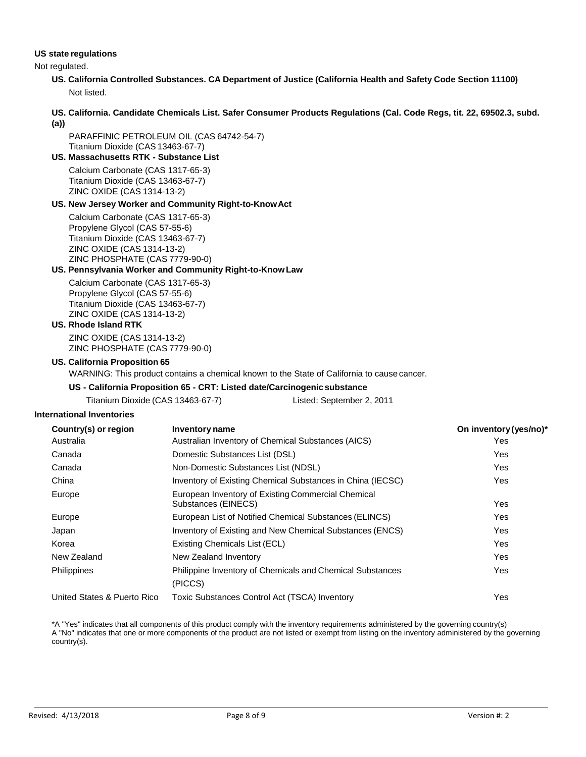#### **US state regulations**

Not regulated.

- **US. California Controlled Substances. CA Department of Justice (California Health and Safety Code Section 11100)** Not listed.
- **US. California. Candidate Chemicals List. Safer Consumer Products Regulations (Cal. Code Regs, tit. 22, 69502.3, subd. (a))**

PARAFFINIC PETROLEUM OIL (CAS 64742-54-7) Titanium Dioxide (CAS 13463-67-7)

**US. Massachusetts RTK - Substance List**

Calcium Carbonate (CAS 1317-65-3) Titanium Dioxide (CAS 13463-67-7) ZINC OXIDE (CAS 1314-13-2)

#### **US. New Jersey Worker and Community Right-to-KnowAct**

Calcium Carbonate (CAS 1317-65-3) Propylene Glycol (CAS 57-55-6) Titanium Dioxide (CAS 13463-67-7) ZINC OXIDE (CAS 1314-13-2) ZINC PHOSPHATE (CAS 7779-90-0)

#### **US. Pennsylvania Worker and Community Right-to-Know Law**

Calcium Carbonate (CAS 1317-65-3) Propylene Glycol (CAS 57-55-6) Titanium Dioxide (CAS 13463-67-7) ZINC OXIDE (CAS 1314-13-2)

#### **US. Rhode Island RTK**

ZINC OXIDE (CAS 1314-13-2) ZINC PHOSPHATE (CAS 7779-90-0)

#### **US. California Proposition 65**

WARNING: This product contains a chemical known to the State of California to cause cancer.

## **US - California Proposition 65 - CRT: Listed date/Carcinogenic substance**

| Titanium Dioxide (CAS 13463-67-7) | Listed: September 2, 2011 |
|-----------------------------------|---------------------------|
|-----------------------------------|---------------------------|

#### **International Inventories**

| Country(s) or region        | <b>Inventory name</b>                                                     | On inventory (yes/no)* |
|-----------------------------|---------------------------------------------------------------------------|------------------------|
| Australia                   | Australian Inventory of Chemical Substances (AICS)                        | Yes                    |
| Canada                      | Domestic Substances List (DSL)                                            | Yes.                   |
| Canada                      | Non-Domestic Substances List (NDSL)                                       | Yes                    |
| China                       | Inventory of Existing Chemical Substances in China (IECSC)                | <b>Yes</b>             |
| Europe                      | European Inventory of Existing Commercial Chemical<br>Substances (EINECS) | Yes                    |
| Europe                      | European List of Notified Chemical Substances (ELINCS)                    | Yes                    |
| Japan                       | Inventory of Existing and New Chemical Substances (ENCS)                  | Yes                    |
| Korea                       | Existing Chemicals List (ECL)                                             | Yes                    |
| New Zealand                 | New Zealand Inventory                                                     | <b>Yes</b>             |
| <b>Philippines</b>          | Philippine Inventory of Chemicals and Chemical Substances<br>(PICCS)      | Yes                    |
| United States & Puerto Rico | Toxic Substances Control Act (TSCA) Inventory                             | Yes                    |

\*A "Yes" indicates that all components of this product comply with the inventory requirements administered by the governing country(s) A "No" indicates that one or more components of the product are not listed or exempt from listing on the inventory administered by the governing country(s).